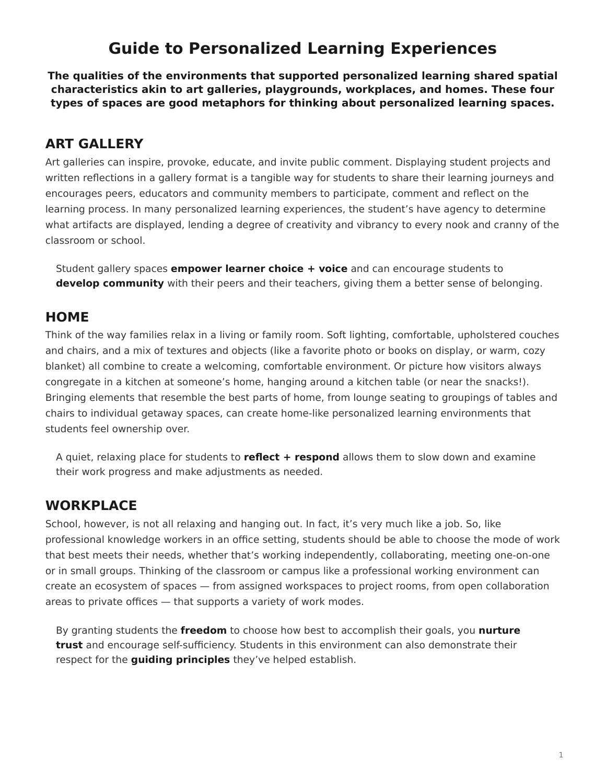# <span id="page-0-0"></span>**Guide to Personalized Learning Experiences**

**The qualities of the environments that supported personalized learning shared spatial characteristics akin to art galleries, playgrounds, workplaces, and homes. These four types of spaces are good metaphors for thinking about personalized learning spaces.**

## **ART GALLERY**

Art galleries can inspire, provoke, educate, and invite public comment. Displaying student projects and written reflections in a gallery format is a tangible way for students to share their learning journeys and encourages peers, educators and community members to participate, comment and reflect on the learning process. In many personalized learning experiences, the student's have agency to determine what artifacts are displayed, lending a degree of creativity and vibrancy to every nook and cranny of the classroom or school.

Student gallery spaces **empower learner choice + voice** and can encourage students to **develop community** with their peers and their teachers, giving them a better sense of belonging.

## **HOME**

Think of the way families relax in a living or family room. Soft lighting, comfortable, upholstered couches and chairs, and a mix of textures and objects (like a favorite photo or books on display, or warm, cozy blanket) all combine to create a welcoming, comfortable environment. Or picture how visitors always congregate in a kitchen at someone's home, hanging around a kitchen table (or near the snacks!). Bringing elements that resemble the best parts of home, from lounge seating to groupings of tables and chairs to individual getaway spaces, can create home-like personalized learning environments that students feel ownership over.

A quiet, relaxing place for students to **reflect + respond** allows them to slow down and examine their work progress and make adjustments as needed.

## **WORKPLACE**

School, however, is not all relaxing and hanging out. In fact, it's very much like a job. So, like professional knowledge workers in an office setting, students should be able to choose the mode of work that best meets their needs, whether that's working independently, collaborating, meeting one-on-one or in small groups. Thinking of the classroom or campus like a professional working environment can create an ecosystem of spaces — from assigned workspaces to project rooms, from open collaboration areas to private offices — that supports a variety of work modes.

By granting students the **freedom** to choose how best to accomplish their goals, you **nurture trust** and encourage self-sufficiency. Students in this environment can also demonstrate their respect for the **guiding principles** they've helped establish.